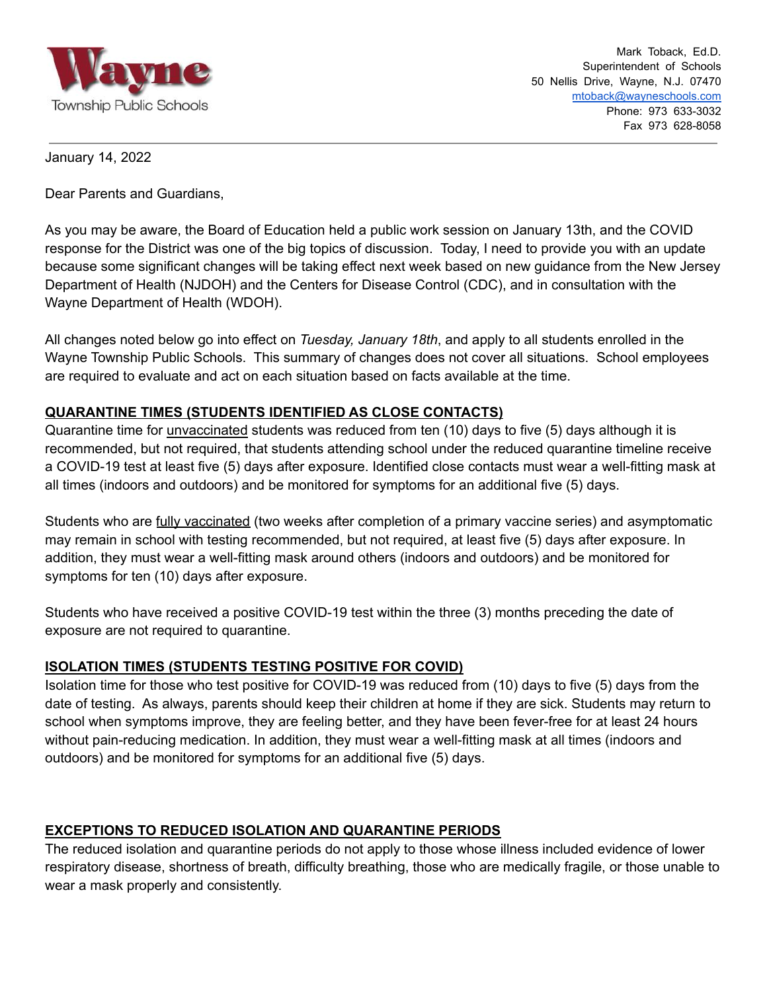

January 14, 2022

Dear Parents and Guardians,

As you may be aware, the Board of Education held a public work session on January 13th, and the COVID response for the District was one of the big topics of discussion. Today, I need to provide you with an update because some significant changes will be taking effect next week based on new guidance from the New Jersey Department of Health (NJDOH) and the Centers for Disease Control (CDC), and in consultation with the Wayne Department of Health (WDOH).

All changes noted below go into effect on *Tuesday, January 18th*, and apply to all students enrolled in the Wayne Township Public Schools. This summary of changes does not cover all situations. School employees are required to evaluate and act on each situation based on facts available at the time.

## **QUARANTINE TIMES (STUDENTS IDENTIFIED AS CLOSE CONTACTS)**

Quarantine time for unvaccinated students was reduced from ten (10) days to five (5) days although it is recommended, but not required, that students attending school under the reduced quarantine timeline receive a COVID-19 test at least five (5) days after exposure. Identified close contacts must wear a well-fitting mask at all times (indoors and outdoors) and be monitored for symptoms for an additional five (5) days.

Students who are fully vaccinated (two weeks after completion of a primary vaccine series) and asymptomatic may remain in school with testing recommended, but not required, at least five (5) days after exposure. In addition, they must wear a well-fitting mask around others (indoors and outdoors) and be monitored for symptoms for ten (10) days after exposure.

Students who have received a positive COVID-19 test within the three (3) months preceding the date of exposure are not required to quarantine.

### **ISOLATION TIMES (STUDENTS TESTING POSITIVE FOR COVID)**

Isolation time for those who test positive for COVID-19 was reduced from (10) days to five (5) days from the date of testing. As always, parents should keep their children at home if they are sick. Students may return to school when symptoms improve, they are feeling better, and they have been fever-free for at least 24 hours without pain-reducing medication. In addition, they must wear a well-fitting mask at all times (indoors and outdoors) and be monitored for symptoms for an additional five (5) days.

# **EXCEPTIONS TO REDUCED ISOLATION AND QUARANTINE PERIODS**

The reduced isolation and quarantine periods do not apply to those whose illness included evidence of lower respiratory disease, shortness of breath, difficulty breathing, those who are medically fragile, or those unable to wear a mask properly and consistently.